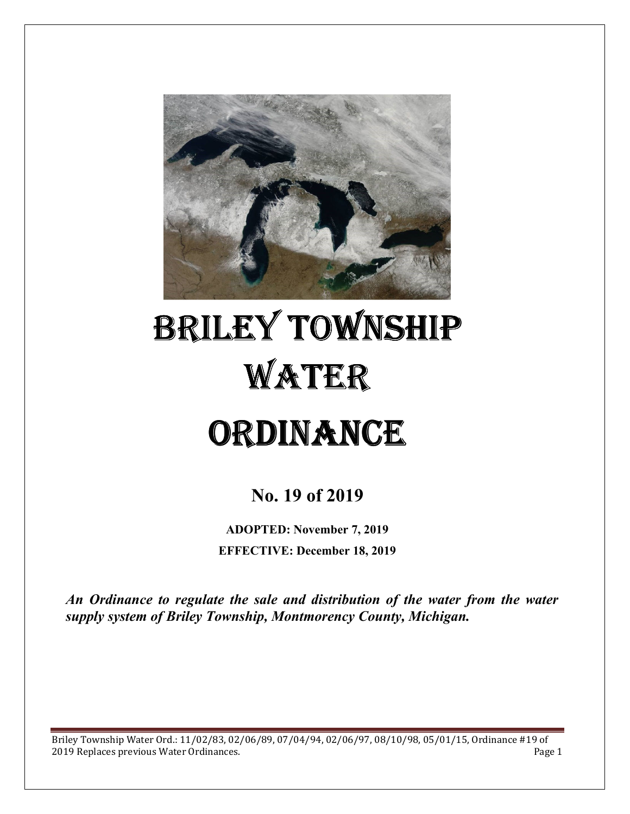

# BRILEY TOWNSHIP WATER **ORDINANCE**

# **No. 19 of 2019**

**ADOPTED: November 7, 2019 EFFECTIVE: December 18, 2019** 

*An Ordinance to regulate the sale and distribution of the water from the water supply system of Briley Township, Montmorency County, Michigan.*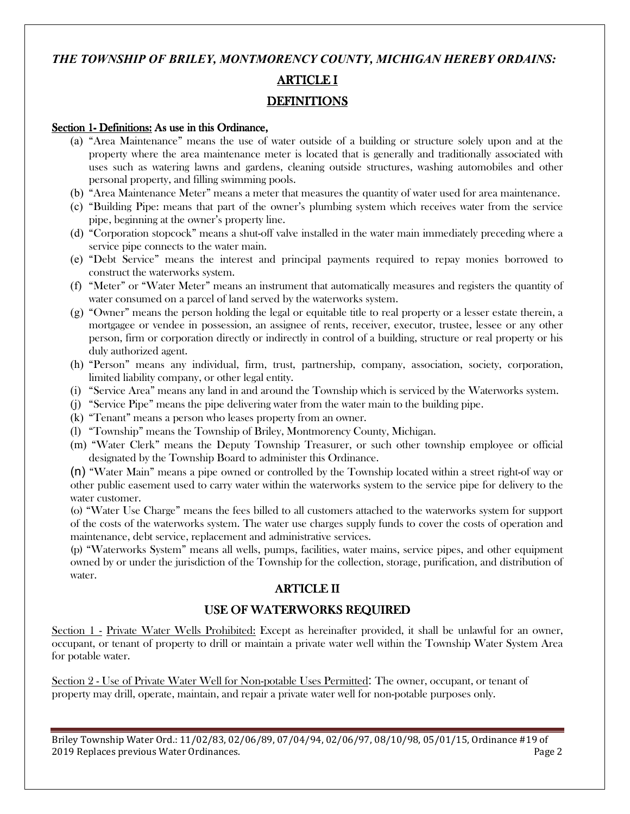# *THE TOWNSHIP OF BRILEY, MONTMORENCY COUNTY, MICHIGAN HEREBY ORDAINS:* **ARTICLE I DEFINITIONS**

#### Section 1- Definitions: As use in this Ordinance,

- (a) "Area Maintenance" means the use of water outside of a building or structure solely upon and at the property where the area maintenance meter is located that is generally and traditionally associated with uses such as watering lawns and gardens, cleaning outside structures, washing automobiles and other personal property, and filling swimming pools.
- (b) "Area Maintenance Meter" means a meter that measures the quantity of water used for area maintenance.
- (c) "Building Pipe: means that part of the owner's plumbing system which receives water from the service pipe, beginning at the owner's property line.
- (d) "Corporation stopcock" means a shut-off valve installed in the water main immediately preceding where a service pipe connects to the water main.
- (e) "Debt Service" means the interest and principal payments required to repay monies borrowed to construct the waterworks system.
- (f) "Meter" or "Water Meter" means an instrument that automatically measures and registers the quantity of water consumed on a parcel of land served by the waterworks system.
- (g) "Owner" means the person holding the legal or equitable title to real property or a lesser estate therein, a mortgagee or vendee in possession, an assignee of rents, receiver, executor, trustee, lessee or any other person, firm or corporation directly or indirectly in control of a building, structure or real property or his duly authorized agent.
- (h) "Person" means any individual, firm, trust, partnership, company, association, society, corporation, limited liability company, or other legal entity.
- (i) "Service Area" means any land in and around the Township which is serviced by the Waterworks system.
- (j) "Service Pipe" means the pipe delivering water from the water main to the building pipe.
- (k) "Tenant" means a person who leases property from an owner.
- (l) "Township" means the Township of Briley, Montmorency County, Michigan.
- (m) "Water Clerk" means the Deputy Township Treasurer, or such other township employee or official designated by the Township Board to administer this Ordinance.

(n) "Water Main" means a pipe owned or controlled by the Township located within a street right-of way or other public easement used to carry water within the waterworks system to the service pipe for delivery to the water customer.

(o) "Water Use Charge" means the fees billed to all customers attached to the waterworks system for support of the costs of the waterworks system. The water use charges supply funds to cover the costs of operation and maintenance, debt service, replacement and administrative services.

(p) "Waterworks System" means all wells, pumps, facilities, water mains, service pipes, and other equipment owned by or under the jurisdiction of the Township for the collection, storage, purification, and distribution of water.

## **ARTICLE II**

# USE OF WATERWORKS REQUIRED

Section 1 - Private Water Wells Prohibited: Except as hereinafter provided, it shall be unlawful for an owner, occupant, or tenant of property to drill or maintain a private water well within the Township Water System Area for potable water.

Section 2 - Use of Private Water Well for Non-potable Uses Permitted: The owner, occupant, or tenant of property may drill, operate, maintain, and repair a private water well for non-potable purposes only.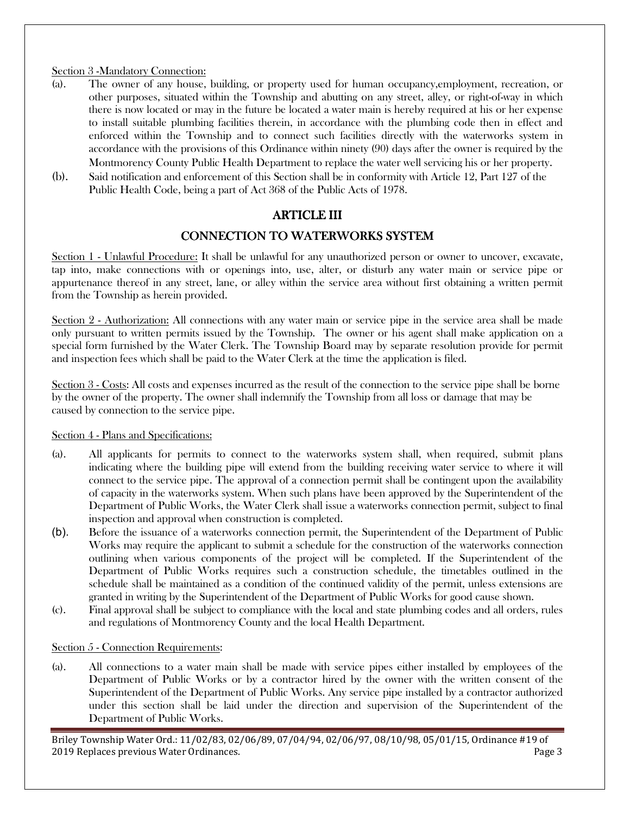#### Section 3 -Mandatory Connection:

- (a). The owner of any house, building, or property used for human occupancy,employment, recreation, or other purposes, situated within the Township and abutting on any street, alley, or right-of-way in which there is now located or may in the future be located a water main is hereby required at his or her expense to install suitable plumbing facilities therein, in accordance with the plumbing code then in effect and enforced within the Township and to connect such facilities directly with the waterworks system in accordance with the provisions of this Ordinance within ninety (90) days after the owner is required by the Montmorency County Public Health Department to replace the water well servicing his or her property.
- (b). Said notification and enforcement of this Section shall be in conformity with Article 12, Part 127 of the Public Health Code, being a part of Act 368 of the Public Acts of 1978.

# ARTICLE III

# CONNECTION TO WATERWORKS SYSTEM

Section 1 - Unlawful Procedure: It shall be unlawful for any unauthorized person or owner to uncover, excavate, tap into, make connections with or openings into, use, alter, or disturb any water main or service pipe or appurtenance thereof in any street, lane, or alley within the service area without first obtaining a written permit from the Township as herein provided.

Section 2 - Authorization: All connections with any water main or service pipe in the service area shall be made only pursuant to written permits issued by the Township. The owner or his agent shall make application on a special form furnished by the Water Clerk. The Township Board may by separate resolution provide for permit and inspection fees which shall be paid to the Water Clerk at the time the application is filed.

Section 3 - Costs: All costs and expenses incurred as the result of the connection to the service pipe shall be borne by the owner of the property. The owner shall indemnify the Township from all loss or damage that may be caused by connection to the service pipe.

#### Section 4 - Plans and Specifications:

- (a). All applicants for permits to connect to the waterworks system shall, when required, submit plans indicating where the building pipe will extend from the building receiving water service to where it will connect to the service pipe. The approval of a connection permit shall be contingent upon the availability of capacity in the waterworks system. When such plans have been approved by the Superintendent of the Department of Public Works, the Water Clerk shall issue a waterworks connection permit, subject to final inspection and approval when construction is completed.
- (b). Before the issuance of a waterworks connection permit, the Superintendent of the Department of Public Works may require the applicant to submit a schedule for the construction of the waterworks connection outlining when various components of the project will be completed. If the Superintendent of the Department of Public Works requires such a construction schedule, the timetables outlined in the schedule shall be maintained as a condition of the continued validity of the permit, unless extensions are granted in writing by the Superintendent of the Department of Public Works for good cause shown.
- (c). Final approval shall be subject to compliance with the local and state plumbing codes and all orders, rules and regulations of Montmorency County and the local Health Department.

#### Section 5 - Connection Requirements:

(a). All connections to a water main shall be made with service pipes either installed by employees of the Department of Public Works or by a contractor hired by the owner with the written consent of the Superintendent of the Department of Public Works. Any service pipe installed by a contractor authorized under this section shall be laid under the direction and supervision of the Superintendent of the Department of Public Works.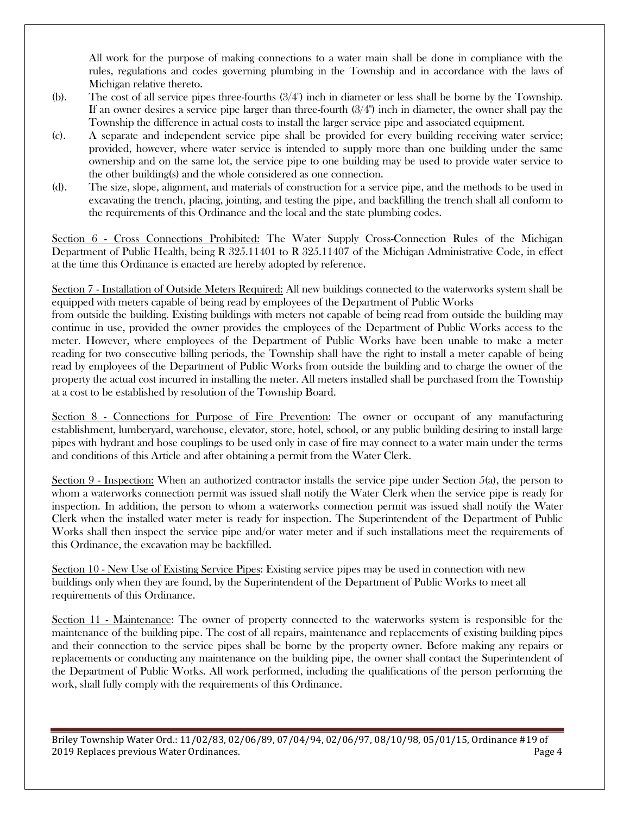All work for the purpose of making connections to a water main shall be done in compliance with the rules, regulations and codes governing plumbing in the Township and in accordance with the laws of Michigan relative thereto.

- (b). The cost of all service pipes three-fourths (3/4") inch in diameter or less shall be borne by the Township. If an owner desires a service pipe larger than three-fourth  $(3/4)$  inch in diameter, the owner shall pay the Township the difference in actual costs to install the larger service pipe and associated equipment.
- (c). A separate and independent service pipe shall be provided for every building receiving water service; provided, however, where water service is intended to supply more than one building under the same ownership and on the same lot, the service pipe to one building may be used to provide water service to the other building(s) and the whole considered as one connection.
- (d). The size, slope, alignment, and materials of construction for a service pipe, and the methods to be used in excavating the trench, placing, jointing, and testing the pipe, and backfilling the trench shall all conform to the requirements of this Ordinance and the local and the state plumbing codes.

Section 6 - Cross Connections Prohibited: The Water Supply Cross-Connection Rules of the Michigan Department of Public Health, being R 325.11401 to R 325.11407 of the Michigan Administrative Code, in effect at the time this Ordinance is enacted are hereby adopted by reference.

Section 7 - Installation of Outside Meters Required: All new buildings connected to the waterworks system shall be equipped with meters capable of being read by employees of the Department of Public Works

from outside the building. Existing buildings with meters not capable of being read from outside the building may continue in use, provided the owner provides the employees of the Department of Public Works access to the meter. However, where employees of the Department of Public Works have been unable to make a meter reading for two consecutive billing periods, the Township shall have the right to install a meter capable of being read by employees of the Department of Public Works from outside the building and to charge the owner of the property the actual cost incurred in installing the meter. All meters installed shall be purchased from the Township at a cost to be established by resolution of the Township Board.

Section 8 - Connections for Purpose of Fire Prevention: The owner or occupant of any manufacturing establishment, lumberyard, warehouse, elevator, store, hotel, school, or any public building desiring to install large pipes with hydrant and hose couplings to be used only in case of fire may connect to a water main under the terms and conditions of this Article and after obtaining a permit from the Water Clerk.

Section 9 - Inspection: When an authorized contractor installs the service pipe under Section 5(a), the person to whom a waterworks connection permit was issued shall notify the Water Clerk when the service pipe is ready for inspection. In addition, the person to whom a waterworks connection permit was issued shall notify the Water Clerk when the installed water meter is ready for inspection. The Superintendent of the Department of Public Works shall then inspect the service pipe and/or water meter and if such installations meet the requirements of this Ordinance, the excavation may be backfilled.

Section 10 - New Use of Existing Service Pipes: Existing service pipes may be used in connection with new buildings only when they are found, by the Superintendent of the Department of Public Works to meet all requirements of this Ordinance.

Section 11 - Maintenance: The owner of property connected to the waterworks system is responsible for the maintenance of the building pipe. The cost of all repairs, maintenance and replacements of existing building pipes and their connection to the service pipes shall be borne by the property owner. Before making any repairs or replacements or conducting any maintenance on the building pipe, the owner shall contact the Superintendent of the Department of Public Works. All work performed, including the qualifications of the person performing the work, shall fully comply with the requirements of this Ordinance.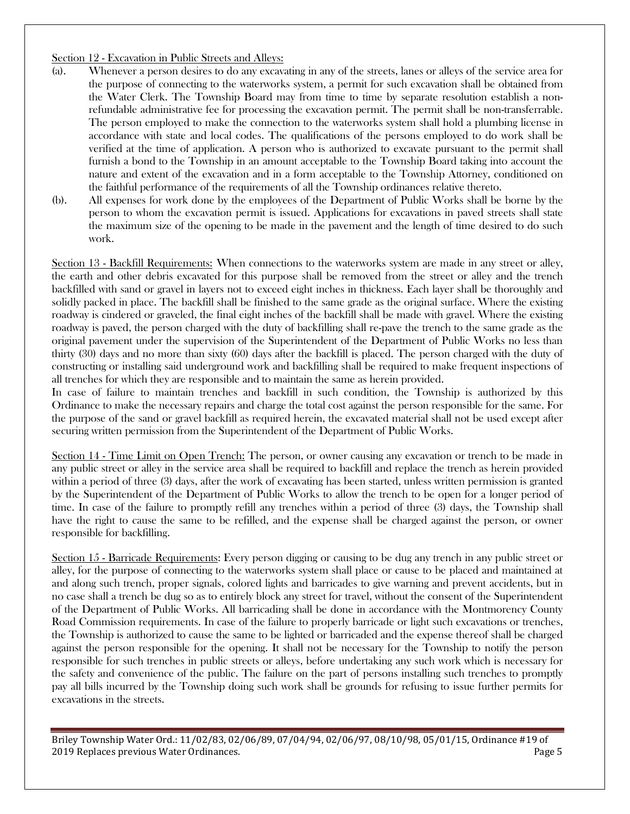#### Section 12 - Excavation in Public Streets and Alleys:

- (a). Whenever a person desires to do any excavating in any of the streets, lanes or alleys of the service area for the purpose of connecting to the waterworks system, a permit for such excavation shall be obtained from the Water Clerk. The Township Board may from time to time by separate resolution establish a nonrefundable administrative fee for processing the excavation permit. The permit shall be non-transferrable. The person employed to make the connection to the waterworks system shall hold a plumbing license in accordance with state and local codes. The qualifications of the persons employed to do work shall be verified at the time of application. A person who is authorized to excavate pursuant to the permit shall furnish a bond to the Township in an amount acceptable to the Township Board taking into account the nature and extent of the excavation and in a form acceptable to the Township Attorney, conditioned on the faithful performance of the requirements of all the Township ordinances relative thereto.
- (b). All expenses for work done by the employees of the Department of Public Works shall be borne by the person to whom the excavation permit is issued. Applications for excavations in paved streets shall state the maximum size of the opening to be made in the pavement and the length of time desired to do such work.

Section 13 - Backfill Requirements: When connections to the waterworks system are made in any street or alley, the earth and other debris excavated for this purpose shall be removed from the street or alley and the trench backfilled with sand or gravel in layers not to exceed eight inches in thickness. Each layer shall be thoroughly and solidly packed in place. The backfill shall be finished to the same grade as the original surface. Where the existing roadway is cindered or graveled, the final eight inches of the backfill shall be made with gravel. Where the existing roadway is paved, the person charged with the duty of backfilling shall re-pave the trench to the same grade as the original pavement under the supervision of the Superintendent of the Department of Public Works no less than thirty (30) days and no more than sixty (60) days after the backfill is placed. The person charged with the duty of constructing or installing said underground work and backfilling shall be required to make frequent inspections of all trenches for which they are responsible and to maintain the same as herein provided.

In case of failure to maintain trenches and backfill in such condition, the Township is authorized by this Ordinance to make the necessary repairs and charge the total cost against the person responsible for the same. For the purpose of the sand or gravel backfill as required herein, the excavated material shall not be used except after securing written permission from the Superintendent of the Department of Public Works.

Section 14 - Time Limit on Open Trench: The person, or owner causing any excavation or trench to be made in any public street or alley in the service area shall be required to backfill and replace the trench as herein provided within a period of three (3) days, after the work of excavating has been started, unless written permission is granted by the Superintendent of the Department of Public Works to allow the trench to be open for a longer period of time. In case of the failure to promptly refill any trenches within a period of three (3) days, the Township shall have the right to cause the same to be refilled, and the expense shall be charged against the person, or owner responsible for backfilling.

Section 15 - Barricade Requirements: Every person digging or causing to be dug any trench in any public street or alley, for the purpose of connecting to the waterworks system shall place or cause to be placed and maintained at and along such trench, proper signals, colored lights and barricades to give warning and prevent accidents, but in no case shall a trench be dug so as to entirely block any street for travel, without the consent of the Superintendent of the Department of Public Works. All barricading shall be done in accordance with the Montmorency County Road Commission requirements. In case of the failure to properly barricade or light such excavations or trenches, the Township is authorized to cause the same to be lighted or barricaded and the expense thereof shall be charged against the person responsible for the opening. It shall not be necessary for the Township to notify the person responsible for such trenches in public streets or alleys, before undertaking any such work which is necessary for the safety and convenience of the public. The failure on the part of persons installing such trenches to promptly pay all bills incurred by the Township doing such work shall be grounds for refusing to issue further permits for excavations in the streets.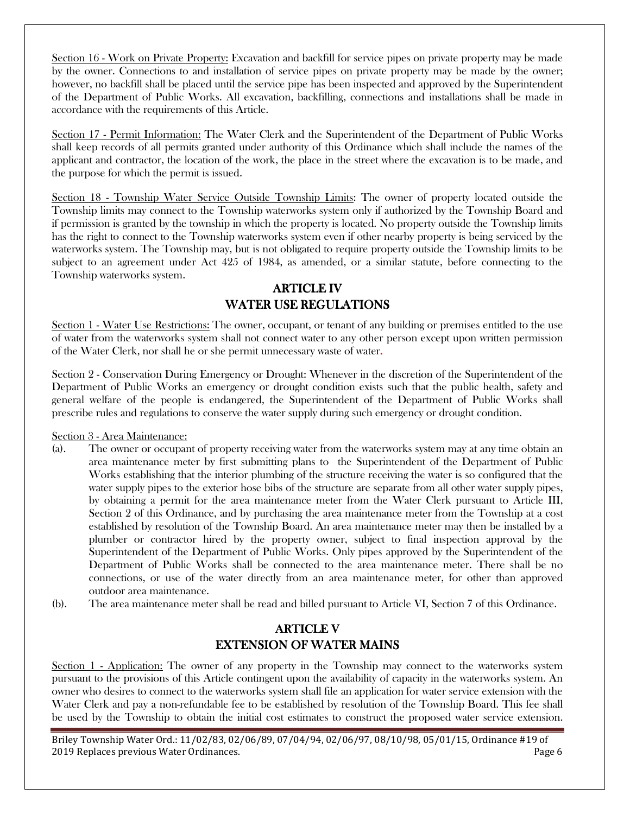Section 16 - Work on Private Property: Excavation and backfill for service pipes on private property may be made by the owner. Connections to and installation of service pipes on private property may be made by the owner; however, no backfill shall be placed until the service pipe has been inspected and approved by the Superintendent of the Department of Public Works. All excavation, backfilling, connections and installations shall be made in accordance with the requirements of this Article.

Section 17 - Permit Information: The Water Clerk and the Superintendent of the Department of Public Works shall keep records of all permits granted under authority of this Ordinance which shall include the names of the applicant and contractor, the location of the work, the place in the street where the excavation is to be made, and the purpose for which the permit is issued.

Section 18 - Township Water Service Outside Township Limits: The owner of property located outside the Township limits may connect to the Township waterworks system only if authorized by the Township Board and if permission is granted by the township in which the property is located. No property outside the Township limits has the right to connect to the Township waterworks system even if other nearby property is being serviced by the waterworks system. The Township may, but is not obligated to require property outside the Township limits to be subject to an agreement under Act 425 of 1984, as amended, or a similar statute, before connecting to the Township waterworks system.

# **ARTICLE IV** WATER USE REGULATIONS

Section 1 - Water Use Restrictions: The owner, occupant, or tenant of any building or premises entitled to the use of water from the waterworks system shall not connect water to any other person except upon written permission of the Water Clerk, nor shall he or she permit unnecessary waste of water.

Section 2 - Conservation During Emergency or Drought: Whenever in the discretion of the Superintendent of the Department of Public Works an emergency or drought condition exists such that the public health, safety and general welfare of the people is endangered, the Superintendent of the Department of Public Works shall prescribe rules and regulations to conserve the water supply during such emergency or drought condition.

#### Section 3 - Area Maintenance:

- (a). The owner or occupant of property receiving water from the waterworks system may at any time obtain an area maintenance meter by first submitting plans to the Superintendent of the Department of Public Works establishing that the interior plumbing of the structure receiving the water is so configured that the water supply pipes to the exterior hose bibs of the structure are separate from all other water supply pipes, by obtaining a permit for the area maintenance meter from the Water Clerk pursuant to Article III, Section 2 of this Ordinance, and by purchasing the area maintenance meter from the Township at a cost established by resolution of the Township Board. An area maintenance meter may then be installed by a plumber or contractor hired by the property owner, subject to final inspection approval by the Superintendent of the Department of Public Works. Only pipes approved by the Superintendent of the Department of Public Works shall be connected to the area maintenance meter. There shall be no connections, or use of the water directly from an area maintenance meter, for other than approved outdoor area maintenance.
- (b). The area maintenance meter shall be read and billed pursuant to Article VI, Section 7 of this Ordinance.

# **ARTICLE V** EXTENSION OF WATER MAINS

Section 1 - Application: The owner of any property in the Township may connect to the waterworks system pursuant to the provisions of this Article contingent upon the availability of capacity in the waterworks system. An owner who desires to connect to the waterworks system shall file an application for water service extension with the Water Clerk and pay a non-refundable fee to be established by resolution of the Township Board. This fee shall be used by the Township to obtain the initial cost estimates to construct the proposed water service extension.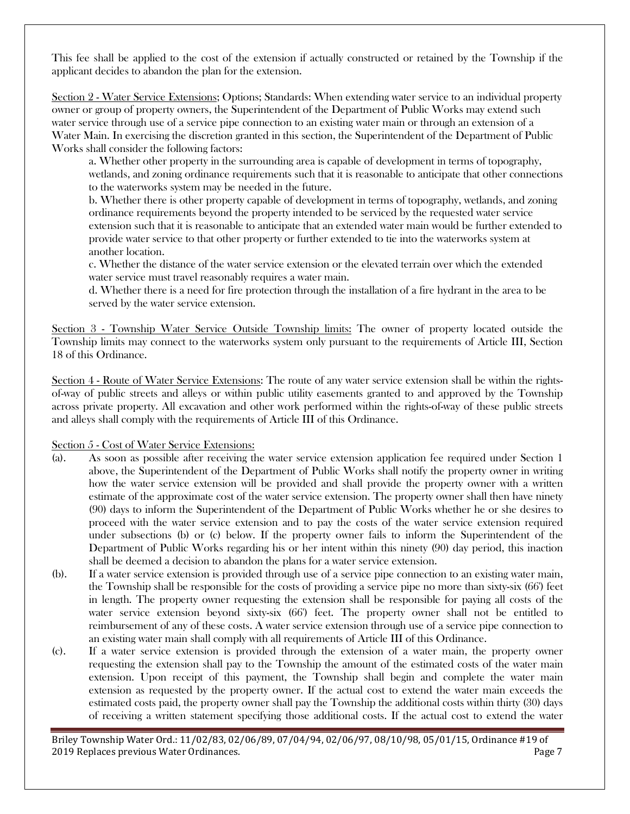This fee shall be applied to the cost of the extension if actually constructed or retained by the Township if the applicant decides to abandon the plan for the extension.

Section 2 - Water Service Extensions; Options; Standards: When extending water service to an individual property owner or group of property owners, the Superintendent of the Department of Public Works may extend such water service through use of a service pipe connection to an existing water main or through an extension of a Water Main. In exercising the discretion granted in this section, the Superintendent of the Department of Public Works shall consider the following factors:

a. Whether other property in the surrounding area is capable of development in terms of topography, wetlands, and zoning ordinance requirements such that it is reasonable to anticipate that other connections to the waterworks system may be needed in the future.

b. Whether there is other property capable of development in terms of topography, wetlands, and zoning ordinance requirements beyond the property intended to be serviced by the requested water service extension such that it is reasonable to anticipate that an extended water main would be further extended to provide water service to that other property or further extended to tie into the waterworks system at another location.

c. Whether the distance of the water service extension or the elevated terrain over which the extended water service must travel reasonably requires a water main.

d. Whether there is a need for fire protection through the installation of a fire hydrant in the area to be served by the water service extension.

Section 3 - Township Water Service Outside Township limits: The owner of property located outside the Township limits may connect to the waterworks system only pursuant to the requirements of Article III, Section 18 of this Ordinance.

Section 4 - Route of Water Service Extensions: The route of any water service extension shall be within the rightsof-way of public streets and alleys or within public utility easements granted to and approved by the Township across private property. All excavation and other work performed within the rights-of-way of these public streets and alleys shall comply with the requirements of Article III of this Ordinance.

Section 5 - Cost of Water Service Extensions:

- (a). As soon as possible after receiving the water service extension application fee required under Section 1 above, the Superintendent of the Department of Public Works shall notify the property owner in writing how the water service extension will be provided and shall provide the property owner with a written estimate of the approximate cost of the water service extension. The property owner shall then have ninety (90) days to inform the Superintendent of the Department of Public Works whether he or she desires to proceed with the water service extension and to pay the costs of the water service extension required under subsections (b) or (c) below. If the property owner fails to inform the Superintendent of the Department of Public Works regarding his or her intent within this ninety (90) day period, this inaction shall be deemed a decision to abandon the plans for a water service extension.
- (b). If a water service extension is provided through use of a service pipe connection to an existing water main, the Township shall be responsible for the costs of providing a service pipe no more than sixty-six (66') feet in length. The property owner requesting the extension shall be responsible for paying all costs of the water service extension beyond sixty-six (66') feet. The property owner shall not be entitled to reimbursement of any of these costs. A water service extension through use of a service pipe connection to an existing water main shall comply with all requirements of Article III of this Ordinance.
- (c). If a water service extension is provided through the extension of a water main, the property owner requesting the extension shall pay to the Township the amount of the estimated costs of the water main extension. Upon receipt of this payment, the Township shall begin and complete the water main extension as requested by the property owner. If the actual cost to extend the water main exceeds the estimated costs paid, the property owner shall pay the Township the additional costs within thirty (30) days of receiving a written statement specifying those additional costs. If the actual cost to extend the water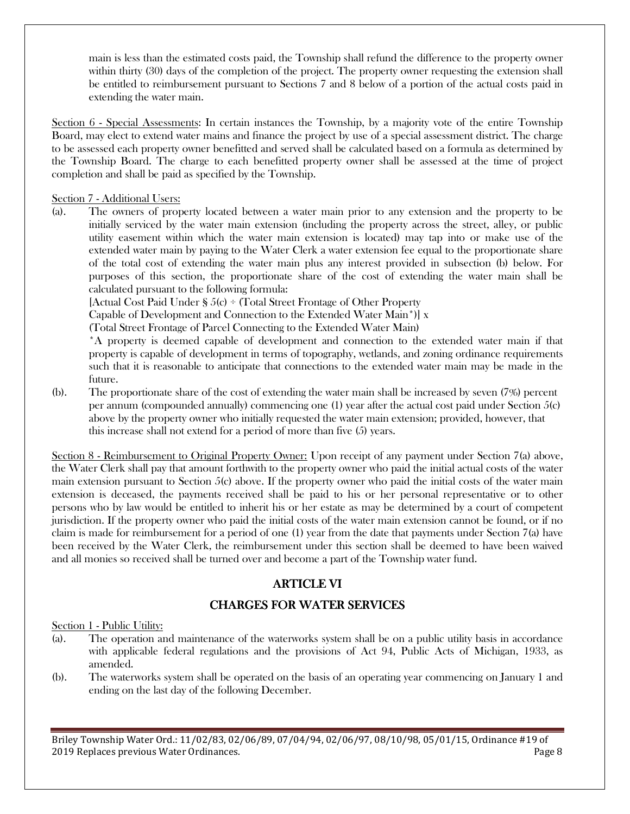main is less than the estimated costs paid, the Township shall refund the difference to the property owner within thirty (30) days of the completion of the project. The property owner requesting the extension shall be entitled to reimbursement pursuant to Sections 7 and 8 below of a portion of the actual costs paid in extending the water main.

Section 6 - Special Assessments: In certain instances the Township, by a majority vote of the entire Township Board, may elect to extend water mains and finance the project by use of a special assessment district. The charge to be assessed each property owner benefitted and served shall be calculated based on a formula as determined by the Township Board. The charge to each benefitted property owner shall be assessed at the time of project completion and shall be paid as specified by the Township.

Section 7 - Additional Users:

(a). The owners of property located between a water main prior to any extension and the property to be initially serviced by the water main extension (including the property across the street, alley, or public utility easement within which the water main extension is located) may tap into or make use of the extended water main by paying to the Water Clerk a water extension fee equal to the proportionate share of the total cost of extending the water main plus any interest provided in subsection (b) below. For purposes of this section, the proportionate share of the cost of extending the water main shall be calculated pursuant to the following formula:

[Actual Cost Paid Under § 5(c) ÷ (Total Street Frontage of Other Property

Capable of Development and Connection to the Extended Water Main\*)] x

(Total Street Frontage of Parcel Connecting to the Extended Water Main)

\*A property is deemed capable of development and connection to the extended water main if that property is capable of development in terms of topography, wetlands, and zoning ordinance requirements such that it is reasonable to anticipate that connections to the extended water main may be made in the future.

(b). The proportionate share of the cost of extending the water main shall be increased by seven (7%) percent per annum (compounded annually) commencing one (1) year after the actual cost paid under Section 5(c) above by the property owner who initially requested the water main extension; provided, however, that this increase shall not extend for a period of more than five (5) years.

Section 8 - Reimbursement to Original Property Owner: Upon receipt of any payment under Section 7(a) above, the Water Clerk shall pay that amount forthwith to the property owner who paid the initial actual costs of the water main extension pursuant to Section 5(c) above. If the property owner who paid the initial costs of the water main extension is deceased, the payments received shall be paid to his or her personal representative or to other persons who by law would be entitled to inherit his or her estate as may be determined by a court of competent jurisdiction. If the property owner who paid the initial costs of the water main extension cannot be found, or if no claim is made for reimbursement for a period of one (1) year from the date that payments under Section 7(a) have been received by the Water Clerk, the reimbursement under this section shall be deemed to have been waived and all monies so received shall be turned over and become a part of the Township water fund.

## ARTICLE VI ARTICLE VI

## **CHARGES FOR WATER SERVICES**

#### Section 1 - Public Utility:

- (a). The operation and maintenance of the waterworks system shall be on a public utility basis in accordance with applicable federal regulations and the provisions of Act 94, Public Acts of Michigan, 1933, as amended.
- (b). The waterworks system shall be operated on the basis of an operating year commencing on January 1 and ending on the last day of the following December.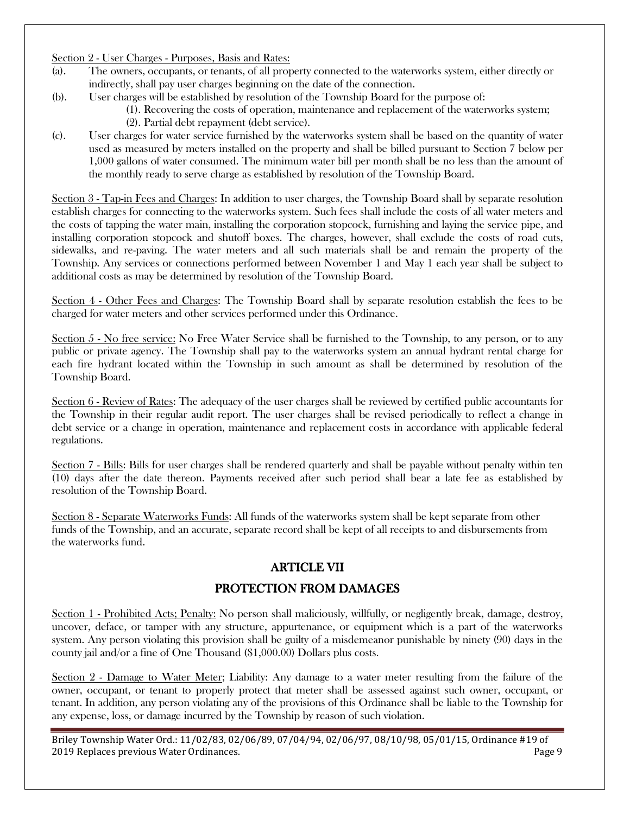#### Section 2 - User Charges - Purposes, Basis and Rates:

- (a). The owners, occupants, or tenants, of all property connected to the waterworks system, either directly or indirectly, shall pay user charges beginning on the date of the connection.
- (b). User charges will be established by resolution of the Township Board for the purpose of:
	- (1). Recovering the costs of operation, maintenance and replacement of the waterworks system; (2). Partial debt repayment (debt service).
- (c). User charges for water service furnished by the waterworks system shall be based on the quantity of water used as measured by meters installed on the property and shall be billed pursuant to Section 7 below per 1,000 gallons of water consumed. The minimum water bill per month shall be no less than the amount of the monthly ready to serve charge as established by resolution of the Township Board.

Section 3 - Tap-in Fees and Charges: In addition to user charges, the Township Board shall by separate resolution establish charges for connecting to the waterworks system. Such fees shall include the costs of all water meters and the costs of tapping the water main, installing the corporation stopcock, furnishing and laying the service pipe, and installing corporation stopcock and shutoff boxes. The charges, however, shall exclude the costs of road cuts, sidewalks, and re-paving. The water meters and all such materials shall be and remain the property of the Township. Any services or connections performed between November 1 and May 1 each year shall be subject to additional costs as may be determined by resolution of the Township Board.

Section 4 - Other Fees and Charges: The Township Board shall by separate resolution establish the fees to be charged for water meters and other services performed under this Ordinance.

Section  $5$  - No free service: No Free Water Service shall be furnished to the Township, to any person, or to any public or private agency. The Township shall pay to the waterworks system an annual hydrant rental charge for each fire hydrant located within the Township in such amount as shall be determined by resolution of the Township Board.

Section 6 - Review of Rates: The adequacy of the user charges shall be reviewed by certified public accountants for the Township in their regular audit report. The user charges shall be revised periodically to reflect a change in debt service or a change in operation, maintenance and replacement costs in accordance with applicable federal regulations.

Section 7 - Bills: Bills for user charges shall be rendered quarterly and shall be payable without penalty within ten (10) days after the date thereon. Payments received after such period shall bear a late fee as established by resolution of the Township Board.

Section 8 - Separate Waterworks Funds: All funds of the waterworks system shall be kept separate from other funds of the Township, and an accurate, separate record shall be kept of all receipts to and disbursements from the waterworks fund.

# **ARTICLE VII**

## PROTECTION FROM DAMAGES

Section 1 - Prohibited Acts; Penalty: No person shall maliciously, willfully, or negligently break, damage, destroy, uncover, deface, or tamper with any structure, appurtenance, or equipment which is a part of the waterworks system. Any person violating this provision shall be guilty of a misdemeanor punishable by ninety (90) days in the county jail and/or a fine of One Thousand (\$1,000.00) Dollars plus costs.

Section 2 - Damage to Water Meter; Liability: Any damage to a water meter resulting from the failure of the owner, occupant, or tenant to properly protect that meter shall be assessed against such owner, occupant, or tenant. In addition, any person violating any of the provisions of this Ordinance shall be liable to the Township for any expense, loss, or damage incurred by the Township by reason of such violation.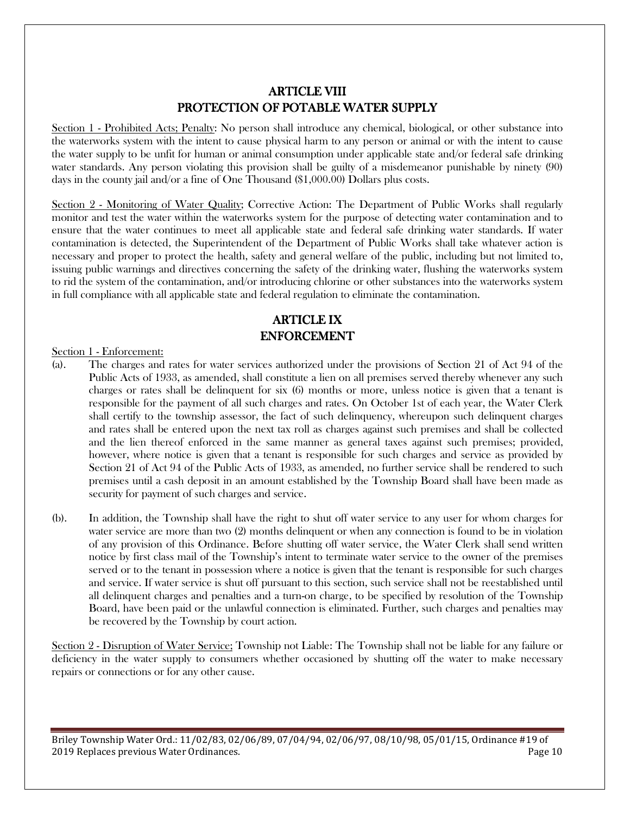# ARTICLE VIII ARTICLE VIII PROTECTION OF POTABLE WATER SUPPLY

Section 1 - Prohibited Acts; Penalty: No person shall introduce any chemical, biological, or other substance into the waterworks system with the intent to cause physical harm to any person or animal or with the intent to cause the water supply to be unfit for human or animal consumption under applicable state and/or federal safe drinking water standards. Any person violating this provision shall be guilty of a misdemeanor punishable by ninety (90) days in the county jail and/or a fine of One Thousand (\$1,000.00) Dollars plus costs.

Section 2 - Monitoring of Water Quality; Corrective Action: The Department of Public Works shall regularly monitor and test the water within the waterworks system for the purpose of detecting water contamination and to ensure that the water continues to meet all applicable state and federal safe drinking water standards. If water contamination is detected, the Superintendent of the Department of Public Works shall take whatever action is necessary and proper to protect the health, safety and general welfare of the public, including but not limited to, issuing public warnings and directives concerning the safety of the drinking water, flushing the waterworks system to rid the system of the contamination, and/or introducing chlorine or other substances into the waterworks system in full compliance with all applicable state and federal regulation to eliminate the contamination.

# **ARTICLE IX** ENFORCEMENT

#### Section 1 - Enforcement:

- (a). The charges and rates for water services authorized under the provisions of Section 21 of Act 94 of the Public Acts of 1933, as amended, shall constitute a lien on all premises served thereby whenever any such charges or rates shall be delinquent for six (6) months or more, unless notice is given that a tenant is responsible for the payment of all such charges and rates. On October 1st of each year, the Water Clerk shall certify to the township assessor, the fact of such delinquency, whereupon such delinquent charges and rates shall be entered upon the next tax roll as charges against such premises and shall be collected and the lien thereof enforced in the same manner as general taxes against such premises; provided, however, where notice is given that a tenant is responsible for such charges and service as provided by Section 21 of Act 94 of the Public Acts of 1933, as amended, no further service shall be rendered to such premises until a cash deposit in an amount established by the Township Board shall have been made as security for payment of such charges and service.
- (b). In addition, the Township shall have the right to shut off water service to any user for whom charges for water service are more than two (2) months delinquent or when any connection is found to be in violation of any provision of this Ordinance. Before shutting off water service, the Water Clerk shall send written notice by first class mail of the Township's intent to terminate water service to the owner of the premises served or to the tenant in possession where a notice is given that the tenant is responsible for such charges and service. If water service is shut off pursuant to this section, such service shall not be reestablished until all delinquent charges and penalties and a turn-on charge, to be specified by resolution of the Township Board, have been paid or the unlawful connection is eliminated. Further, such charges and penalties may be recovered by the Township by court action.

Section 2 - Disruption of Water Service; Township not Liable: The Township shall not be liable for any failure or deficiency in the water supply to consumers whether occasioned by shutting off the water to make necessary repairs or connections or for any other cause.